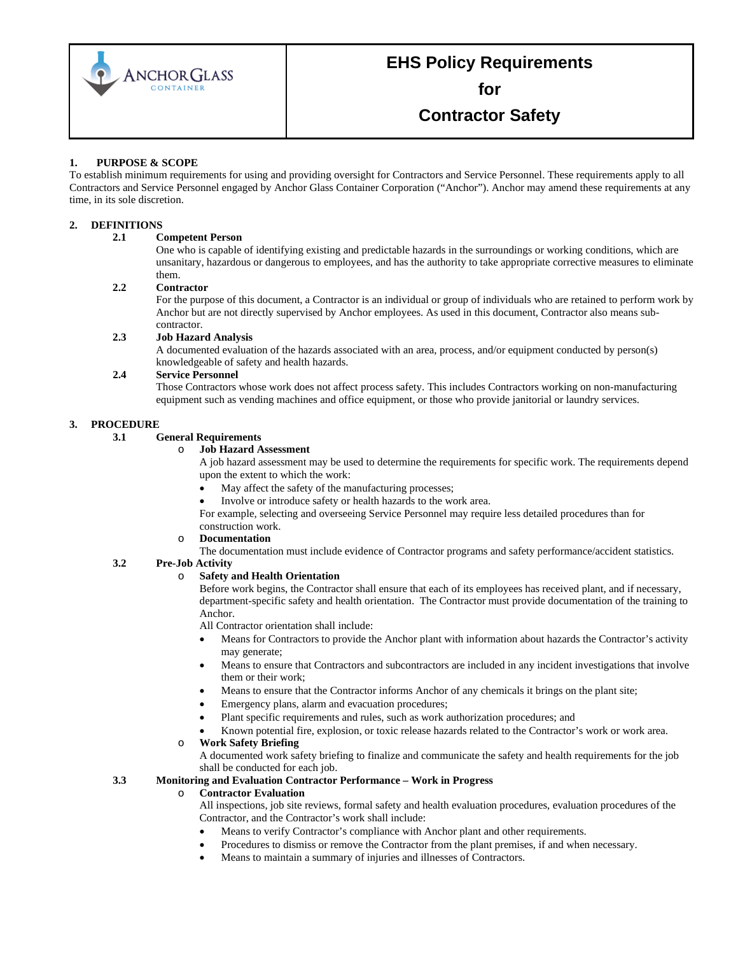

**for** 

**Contractor Safety**

#### **1. PURPOSE & SCOPE**

To establish minimum requirements for using and providing oversight for Contractors and Service Personnel. These requirements apply to all Contractors and Service Personnel engaged by Anchor Glass Container Corporation ("Anchor"). Anchor may amend these requirements at any time, in its sole discretion.

#### **2. DEFINITIONS**

#### **2.1 Competent Person**

One who is capable of identifying existing and predictable hazards in the surroundings or working conditions, which are unsanitary, hazardous or dangerous to employees, and has the authority to take appropriate corrective measures to eliminate them.

#### **2.2 Contractor**

For the purpose of this document, a Contractor is an individual or group of individuals who are retained to perform work by Anchor but are not directly supervised by Anchor employees. As used in this document, Contractor also means subcontractor.

#### **2.3 Job Hazard Analysis**

A documented evaluation of the hazards associated with an area, process, and/or equipment conducted by person(s) knowledgeable of safety and health hazards.

#### **2.4 Service Personnel**

Those Contractors whose work does not affect process safety. This includes Contractors working on non-manufacturing equipment such as vending machines and office equipment, or those who provide janitorial or laundry services.

# **3. PROCEDURE**

#### **3.1 General Requirements**

#### o **Job Hazard Assessment**

A job hazard assessment may be used to determine the requirements for specific work. The requirements depend upon the extent to which the work:

- May affect the safety of the manufacturing processes;
- Involve or introduce safety or health hazards to the work area.

For example, selecting and overseeing Service Personnel may require less detailed procedures than for construction work.

#### o **Documentation**

The documentation must include evidence of Contractor programs and safety performance/accident statistics.

#### **3.2 Pre-Job Activity**

#### o **Safety and Health Orientation**

Before work begins, the Contractor shall ensure that each of its employees has received plant, and if necessary, department-specific safety and health orientation. The Contractor must provide documentation of the training to Anchor.

All Contractor orientation shall include:

- Means for Contractors to provide the Anchor plant with information about hazards the Contractor's activity may generate;
- Means to ensure that Contractors and subcontractors are included in any incident investigations that involve them or their work;
- Means to ensure that the Contractor informs Anchor of any chemicals it brings on the plant site;
- Emergency plans, alarm and evacuation procedures;
- Plant specific requirements and rules, such as work authorization procedures; and
- Known potential fire, explosion, or toxic release hazards related to the Contractor's work or work area.

#### o **Work Safety Briefing**

A documented work safety briefing to finalize and communicate the safety and health requirements for the job shall be conducted for each job.

#### **3.3 Monitoring and Evaluation Contractor Performance – Work in Progress**

#### o **Contractor Evaluation**

All inspections, job site reviews, formal safety and health evaluation procedures, evaluation procedures of the Contractor, and the Contractor's work shall include:

- Means to verify Contractor's compliance with Anchor plant and other requirements.
- Procedures to dismiss or remove the Contractor from the plant premises, if and when necessary.
- Means to maintain a summary of injuries and illnesses of Contractors.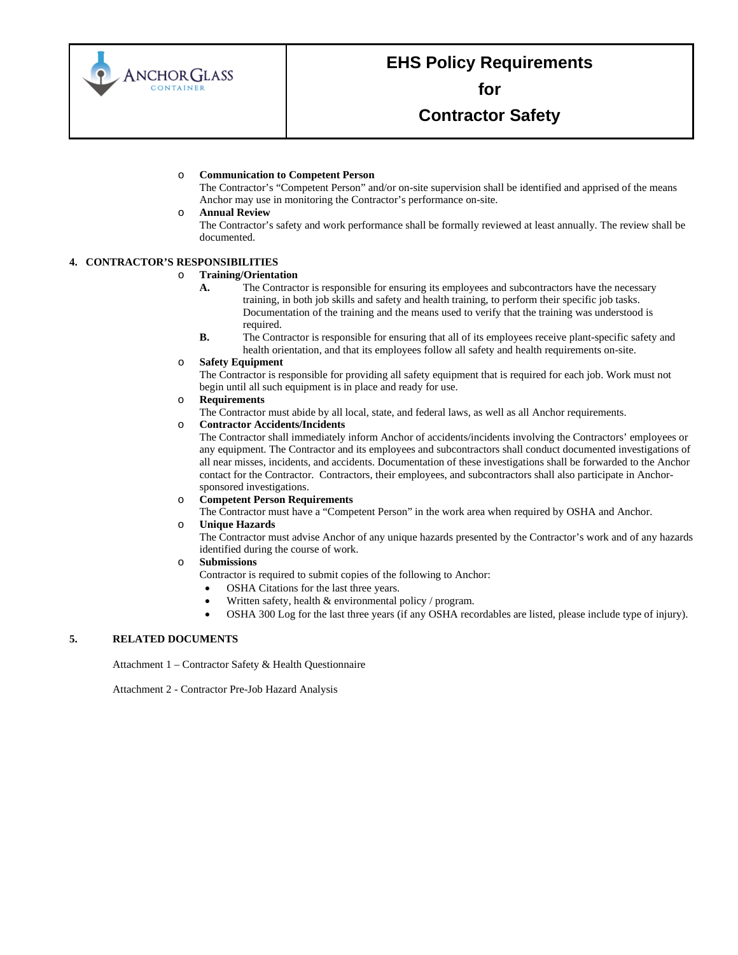

**for** 

### **Contractor Safety**

#### o **Communication to Competent Person**

The Contractor's "Competent Person" and/or on-site supervision shall be identified and apprised of the means Anchor may use in monitoring the Contractor's performance on-site.

#### o **Annual Review**

The Contractor's safety and work performance shall be formally reviewed at least annually. The review shall be documented.

#### **4. CONTRACTOR'S RESPONSIBILITIES**

# o **Training/Orientation**

- The Contractor is responsible for ensuring its employees and subcontractors have the necessary training, in both job skills and safety and health training, to perform their specific job tasks. Documentation of the training and the means used to verify that the training was understood is required.
- **B.** The Contractor is responsible for ensuring that all of its employees receive plant-specific safety and health orientation, and that its employees follow all safety and health requirements on-site.

#### o **Safety Equipment**

The Contractor is responsible for providing all safety equipment that is required for each job. Work must not begin until all such equipment is in place and ready for use.

#### o **Requirements**

The Contractor must abide by all local, state, and federal laws, as well as all Anchor requirements.

#### o **Contractor Accidents/Incidents**

The Contractor shall immediately inform Anchor of accidents/incidents involving the Contractors' employees or any equipment. The Contractor and its employees and subcontractors shall conduct documented investigations of all near misses, incidents, and accidents. Documentation of these investigations shall be forwarded to the Anchor contact for the Contractor. Contractors, their employees, and subcontractors shall also participate in Anchorsponsored investigations.

#### o **Competent Person Requirements**

The Contractor must have a "Competent Person" in the work area when required by OSHA and Anchor.

#### o **Unique Hazards**

The Contractor must advise Anchor of any unique hazards presented by the Contractor's work and of any hazards identified during the course of work.

#### o **Submissions**

- Contractor is required to submit copies of the following to Anchor:
	- OSHA Citations for the last three years.
	- Written safety, health  $&$  environmental policy / program.
	- OSHA 300 Log for the last three years (if any OSHA recordables are listed, please include type of injury).

#### **5. RELATED DOCUMENTS**

Attachment 1 – Contractor Safety & Health Questionnaire

Attachment 2 - Contractor Pre-Job Hazard Analysis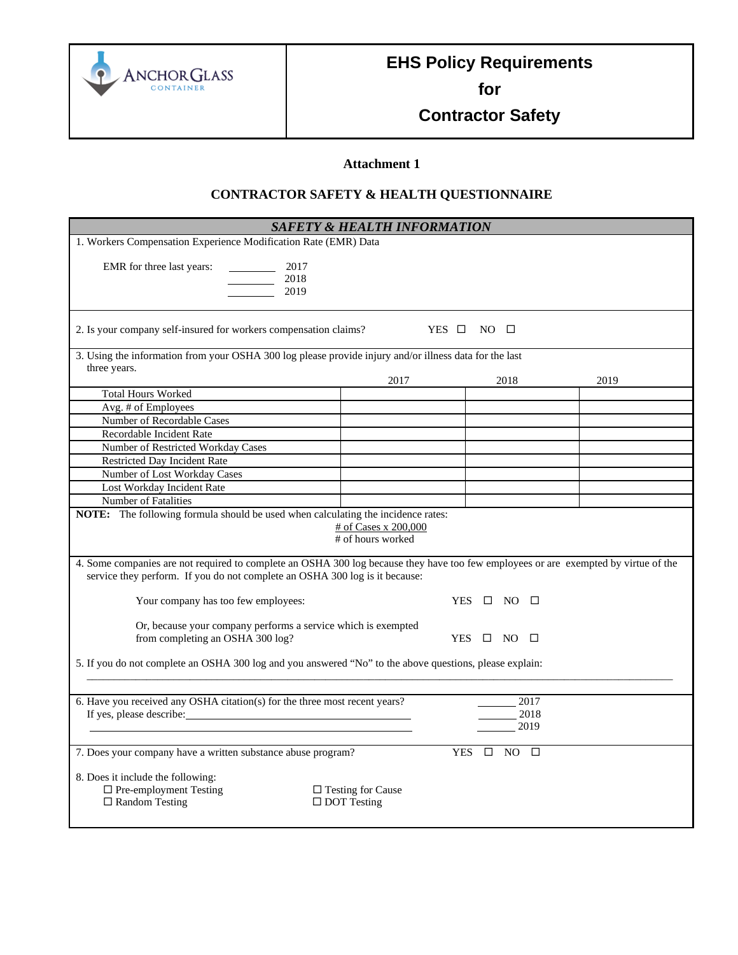

**for** 

**Contractor Safety**

### **Attachment 1**

### **CONTRACTOR SAFETY & HEALTH QUESTIONNAIRE**

| <b>SAFETY &amp; HEALTH INFORMATION</b>                                                                                                                                                                             |                                                   |                      |                      |      |  |  |
|--------------------------------------------------------------------------------------------------------------------------------------------------------------------------------------------------------------------|---------------------------------------------------|----------------------|----------------------|------|--|--|
| 1. Workers Compensation Experience Modification Rate (EMR) Data                                                                                                                                                    |                                                   |                      |                      |      |  |  |
| EMR for three last years:<br>2017<br>2018<br>2019                                                                                                                                                                  |                                                   |                      |                      |      |  |  |
| 2. Is your company self-insured for workers compensation claims?<br>YES $\Box$ NO $\Box$                                                                                                                           |                                                   |                      |                      |      |  |  |
| 3. Using the information from your OSHA 300 log please provide injury and/or illness data for the last                                                                                                             |                                                   |                      |                      |      |  |  |
| three years.                                                                                                                                                                                                       |                                                   |                      |                      |      |  |  |
|                                                                                                                                                                                                                    | 2017                                              |                      | 2018                 | 2019 |  |  |
| <b>Total Hours Worked</b>                                                                                                                                                                                          |                                                   |                      |                      |      |  |  |
| Avg. # of Employees                                                                                                                                                                                                |                                                   |                      |                      |      |  |  |
| Number of Recordable Cases                                                                                                                                                                                         |                                                   |                      |                      |      |  |  |
| Recordable Incident Rate                                                                                                                                                                                           |                                                   |                      |                      |      |  |  |
| Number of Restricted Workday Cases                                                                                                                                                                                 |                                                   |                      |                      |      |  |  |
| <b>Restricted Day Incident Rate</b>                                                                                                                                                                                |                                                   |                      |                      |      |  |  |
| Number of Lost Workday Cases                                                                                                                                                                                       |                                                   |                      |                      |      |  |  |
| Lost Workday Incident Rate                                                                                                                                                                                         |                                                   |                      |                      |      |  |  |
| Number of Fatalities                                                                                                                                                                                               |                                                   |                      |                      |      |  |  |
| <b>NOTE:</b> The following formula should be used when calculating the incidence rates:<br># of Cases x 200,000<br># of hours worked                                                                               |                                                   |                      |                      |      |  |  |
| 4. Some companies are not required to complete an OSHA 300 log because they have too few employees or are exempted by virtue of the<br>service they perform. If you do not complete an OSHA 300 log is it because: |                                                   |                      |                      |      |  |  |
| Your company has too few employees:                                                                                                                                                                                | YES $\Box$ NO $\Box$                              |                      |                      |      |  |  |
| Or, because your company performs a service which is exempted<br>from completing an OSHA 300 log?                                                                                                                  |                                                   |                      | YES $\Box$ NO $\Box$ |      |  |  |
| 5. If you do not complete an OSHA 300 log and you answered "No" to the above questions, please explain:                                                                                                            |                                                   |                      |                      |      |  |  |
| 6. Have you received any OSHA citation(s) for the three most recent years?                                                                                                                                         |                                                   |                      | 2017<br>2018<br>2019 |      |  |  |
| 7. Does your company have a written substance abuse program?                                                                                                                                                       |                                                   | YES $\Box$ NO $\Box$ |                      |      |  |  |
| 8. Does it include the following:<br>$\Box$ Pre-employment Testing<br>$\Box$ Random Testing                                                                                                                        | $\square$ Testing for Cause<br>$\Box$ DOT Testing |                      |                      |      |  |  |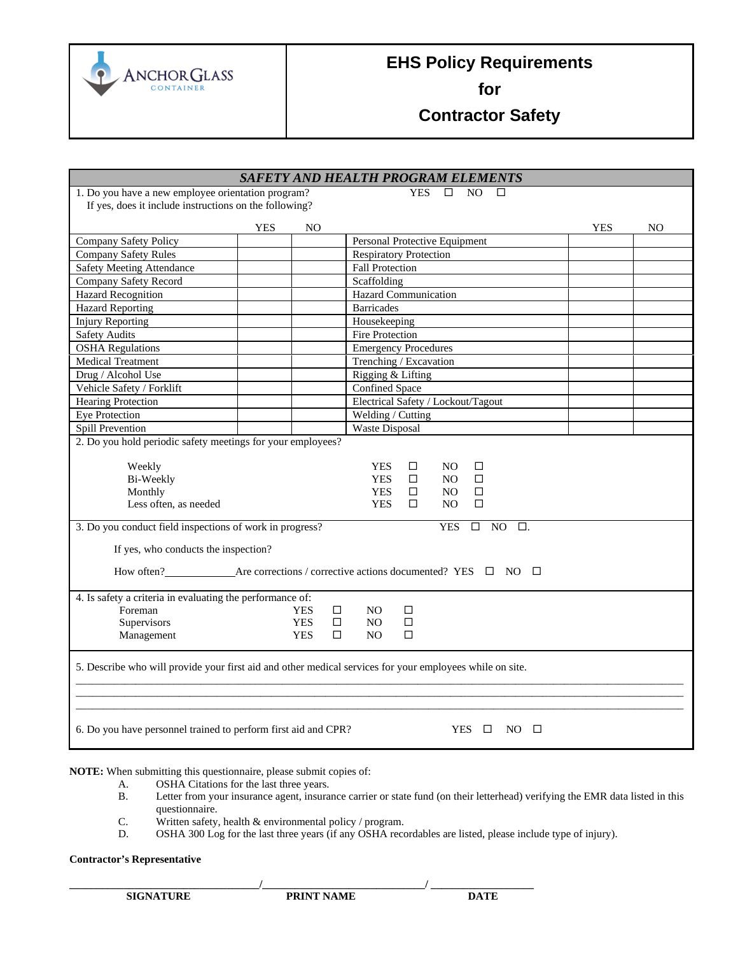

**for** 

**Contractor Safety**

| <b>SAFETY AND HEALTH PROGRAM ELEMENTS</b>                                                                |            |        |                                       |  |  |
|----------------------------------------------------------------------------------------------------------|------------|--------|---------------------------------------|--|--|
| 1. Do you have a new employee orientation program?                                                       |            |        | N <sub>O</sub><br>YES<br>п<br>П       |  |  |
| If yes, does it include instructions on the following?                                                   |            |        |                                       |  |  |
| <b>YES</b>                                                                                               | NO         |        | <b>YES</b><br>NO                      |  |  |
| Company Safety Policy                                                                                    |            |        | Personal Protective Equipment         |  |  |
| <b>Company Safety Rules</b>                                                                              |            |        | <b>Respiratory Protection</b>         |  |  |
| <b>Safety Meeting Attendance</b>                                                                         |            |        | <b>Fall Protection</b>                |  |  |
| Company Safety Record                                                                                    |            |        | Scaffolding                           |  |  |
| <b>Hazard Recognition</b>                                                                                |            |        | <b>Hazard Communication</b>           |  |  |
| <b>Hazard Reporting</b>                                                                                  |            |        | <b>Barricades</b>                     |  |  |
| <b>Injury Reporting</b>                                                                                  |            |        | Housekeeping                          |  |  |
| <b>Safety Audits</b>                                                                                     |            |        | <b>Fire Protection</b>                |  |  |
| <b>OSHA</b> Regulations                                                                                  |            |        | <b>Emergency Procedures</b>           |  |  |
| <b>Medical Treatment</b>                                                                                 |            |        | Trenching / Excavation                |  |  |
| Drug / Alcohol Use                                                                                       |            |        | Rigging & Lifting                     |  |  |
| Vehicle Safety / Forklift                                                                                |            |        | Confined Space                        |  |  |
| <b>Hearing Protection</b>                                                                                |            |        | Electrical Safety / Lockout/Tagout    |  |  |
| Eye Protection                                                                                           |            |        | Welding / Cutting                     |  |  |
| Spill Prevention                                                                                         |            |        | Waste Disposal                        |  |  |
| 2. Do you hold periodic safety meetings for your employees?                                              |            |        |                                       |  |  |
|                                                                                                          |            |        |                                       |  |  |
| Weekly                                                                                                   |            |        | <b>YES</b><br>□<br>NO.<br>□           |  |  |
| Bi-Weekly                                                                                                |            |        | <b>YES</b><br>$\Box$<br>NO.<br>$\Box$ |  |  |
| Monthly                                                                                                  |            |        | <b>YES</b><br>$\Box$<br>$\Box$<br>NO. |  |  |
| Less often, as needed                                                                                    |            |        | <b>YES</b><br>□<br>NO.<br>$\Box$      |  |  |
| 3. Do you conduct field inspections of work in progress?                                                 |            |        | $\Box$<br><b>YES</b><br>NO.<br>口.     |  |  |
|                                                                                                          |            |        |                                       |  |  |
| If yes, who conducts the inspection?                                                                     |            |        |                                       |  |  |
|                                                                                                          |            |        |                                       |  |  |
|                                                                                                          |            |        |                                       |  |  |
| 4. Is safety a criteria in evaluating the performance of:                                                |            |        |                                       |  |  |
| Foreman                                                                                                  | <b>YES</b> | $\Box$ | NO.<br>□                              |  |  |
| Supervisors                                                                                              | <b>YES</b> | $\Box$ | □<br>NO.                              |  |  |
| Management                                                                                               | <b>YES</b> | $\Box$ | NO.<br>□                              |  |  |
|                                                                                                          |            |        |                                       |  |  |
| 5. Describe who will provide your first aid and other medical services for your employees while on site. |            |        |                                       |  |  |
|                                                                                                          |            |        |                                       |  |  |
|                                                                                                          |            |        |                                       |  |  |
|                                                                                                          |            |        |                                       |  |  |
| 6. Do you have personnel trained to perform first aid and CPR?<br>$YES$ $\square$<br>$NO$ $\Box$         |            |        |                                       |  |  |

**NOTE:** When submitting this questionnaire, please submit copies of: A. OSHA Citations for the last three years.

- A. OSHA Citations for the last three years.<br>B. Letter from your insurance agent, insural
- Letter from your insurance agent, insurance carrier or state fund (on their letterhead) verifying the EMR data listed in this questionnaire.
- C. Written safety, health & environmental policy / program.<br>D. OSHA 300 Log for the last three years (if any OSHA reco
- OSHA 300 Log for the last three years (if any OSHA recordables are listed, please include type of injury).

#### **Contractor's Representative**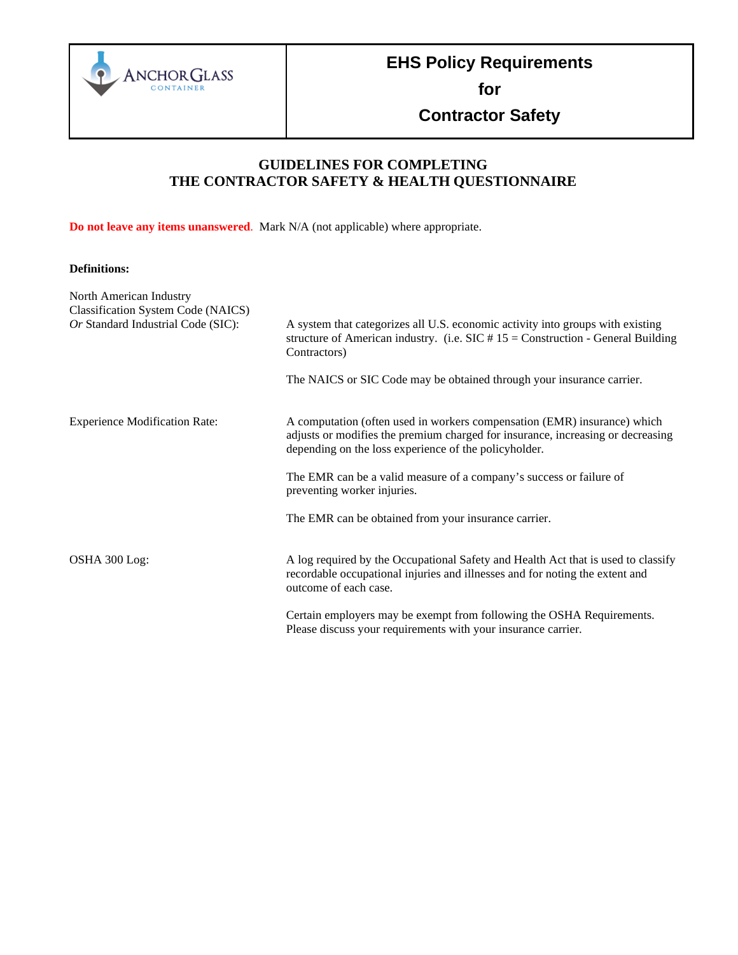

**for** 

**Contractor Safety**

### **GUIDELINES FOR COMPLETING THE CONTRACTOR SAFETY & HEALTH QUESTIONNAIRE**

**Do not leave any items unanswered**. Mark N/A (not applicable) where appropriate.

### **Definitions:**

| North American Industry<br><b>Classification System Code (NAICS)</b> |                                                                                                                                                                                                                      |
|----------------------------------------------------------------------|----------------------------------------------------------------------------------------------------------------------------------------------------------------------------------------------------------------------|
| Or Standard Industrial Code (SIC):                                   | A system that categorizes all U.S. economic activity into groups with existing<br>structure of American industry. (i.e. $SIC \# 15 =$ Construction - General Building<br>Contractors)                                |
|                                                                      | The NAICS or SIC Code may be obtained through your insurance carrier.                                                                                                                                                |
| <b>Experience Modification Rate:</b>                                 | A computation (often used in workers compensation (EMR) insurance) which<br>adjusts or modifies the premium charged for insurance, increasing or decreasing<br>depending on the loss experience of the policyholder. |
|                                                                      | The EMR can be a valid measure of a company's success or failure of<br>preventing worker injuries.                                                                                                                   |
|                                                                      | The EMR can be obtained from your insurance carrier.                                                                                                                                                                 |
| OSHA 300 Log:                                                        | A log required by the Occupational Safety and Health Act that is used to classify<br>recordable occupational injuries and illnesses and for noting the extent and<br>outcome of each case.                           |
|                                                                      | Certain employers may be exempt from following the OSHA Requirements.<br>Please discuss your requirements with your insurance carrier.                                                                               |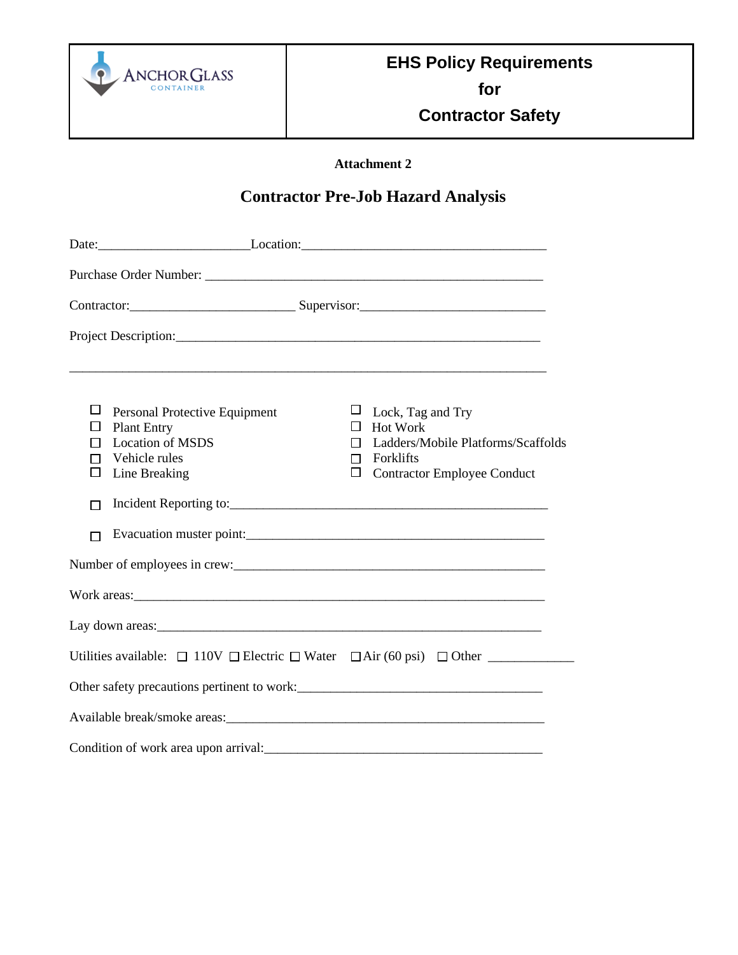

**for** 

**Contractor Safety**

**Attachment 2**

## **Contractor Pre-Job Hazard Analysis**

| Date: Location: Location: Location:                                                                                                                                                                                            |                                                                                                                                            |  |  |  |  |
|--------------------------------------------------------------------------------------------------------------------------------------------------------------------------------------------------------------------------------|--------------------------------------------------------------------------------------------------------------------------------------------|--|--|--|--|
|                                                                                                                                                                                                                                |                                                                                                                                            |  |  |  |  |
|                                                                                                                                                                                                                                |                                                                                                                                            |  |  |  |  |
|                                                                                                                                                                                                                                |                                                                                                                                            |  |  |  |  |
| ⊔<br>Personal Protective Equipment<br><b>Plant Entry</b><br>$\Box$<br><b>Location of MSDS</b><br>Vehicle rules<br>П<br>Line Breaking<br>П                                                                                      | ⊔<br>Lock, Tag and Try<br>Hot Work<br>Ladders/Mobile Platforms/Scaffolds<br>П<br>Forklifts<br>П<br><b>Contractor Employee Conduct</b><br>□ |  |  |  |  |
|                                                                                                                                                                                                                                |                                                                                                                                            |  |  |  |  |
| Work areas: North and the contract of the contract of the contract of the contract of the contract of the contract of the contract of the contract of the contract of the contract of the contract of the contract of the cont |                                                                                                                                            |  |  |  |  |
|                                                                                                                                                                                                                                |                                                                                                                                            |  |  |  |  |
| Utilities available: $\Box$ 110V $\Box$ Electric $\Box$ Water $\Box$ Air (60 psi) $\Box$ Other                                                                                                                                 |                                                                                                                                            |  |  |  |  |
| Other safety precautions pertinent to work:<br><u> </u>                                                                                                                                                                        |                                                                                                                                            |  |  |  |  |
|                                                                                                                                                                                                                                |                                                                                                                                            |  |  |  |  |
|                                                                                                                                                                                                                                |                                                                                                                                            |  |  |  |  |